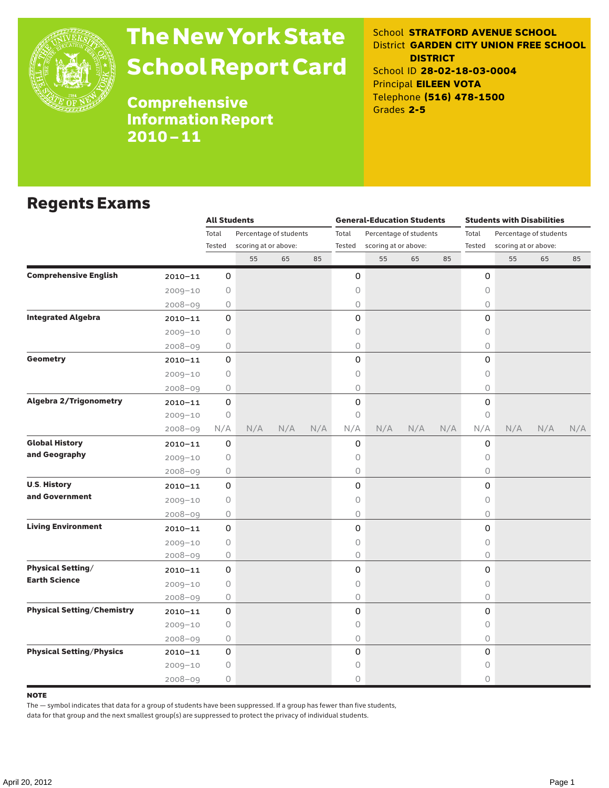

# The New York State School Report Card

School **STRATFORD AVENUE SCHOOL** District **GARDEN CITY UNION FREE SCHOOL DISTRICT** School ID **28-02-18-03-0004** Principal **EILEEN VOTA** Telephone **(516) 478-1500** Grades **2-5**

Comprehensive Information Report 2010–11

### Regents Exams

|                                   |             | <b>All Students</b> |                                                |     |     |                 | <b>General-Education Students</b> |                        |     | <b>Students with Disabilities</b> |                      |                        |     |  |
|-----------------------------------|-------------|---------------------|------------------------------------------------|-----|-----|-----------------|-----------------------------------|------------------------|-----|-----------------------------------|----------------------|------------------------|-----|--|
|                                   |             | Total               | Percentage of students<br>scoring at or above: |     |     | Total<br>Tested |                                   | Percentage of students |     | Total<br>Tested                   |                      | Percentage of students |     |  |
|                                   |             | Tested              |                                                |     |     |                 | scoring at or above:              |                        |     |                                   | scoring at or above: |                        |     |  |
|                                   |             |                     | 55                                             | 65  | 85  |                 | 55                                | 65                     | 85  |                                   | 55                   | 65                     | 85  |  |
| <b>Comprehensive English</b>      | $2010 - 11$ | 0                   |                                                |     |     | 0               |                                   |                        |     | 0                                 |                      |                        |     |  |
|                                   | $2009 - 10$ | 0                   |                                                |     |     | 0               |                                   |                        |     | 0                                 |                      |                        |     |  |
|                                   | $2008 - 09$ | 0                   |                                                |     |     | 0               |                                   |                        |     | $\bigcirc$                        |                      |                        |     |  |
| <b>Integrated Algebra</b>         | $2010 - 11$ | 0                   |                                                |     |     | 0               |                                   |                        |     | 0                                 |                      |                        |     |  |
|                                   | $2009 - 10$ | 0                   |                                                |     |     | 0               |                                   |                        |     | $\circ$                           |                      |                        |     |  |
|                                   | $2008 - 09$ | 0                   |                                                |     |     | 0               |                                   |                        |     | $\circ$                           |                      |                        |     |  |
| <b>Geometry</b>                   | $2010 - 11$ | 0                   |                                                |     |     | 0               |                                   |                        |     | 0                                 |                      |                        |     |  |
|                                   | $2009 - 10$ | 0                   |                                                |     |     | 0               |                                   |                        |     | $\bigcirc$                        |                      |                        |     |  |
|                                   | $2008 - 09$ | 0                   |                                                |     |     | 0               |                                   |                        |     | 0                                 |                      |                        |     |  |
| <b>Algebra 2/Trigonometry</b>     | $2010 - 11$ | 0                   |                                                |     |     | 0               |                                   |                        |     | $\mathsf{O}$                      |                      |                        |     |  |
|                                   | $2009 - 10$ | $\circ$             |                                                |     |     | 0               |                                   |                        |     | $\circ$                           |                      |                        |     |  |
|                                   | $2008 - 09$ | N/A                 | N/A                                            | N/A | N/A | N/A             | N/A                               | N/A                    | N/A | N/A                               | N/A                  | N/A                    | N/A |  |
| <b>Global History</b>             | $2010 - 11$ | 0                   |                                                |     |     | 0               |                                   |                        |     | 0                                 |                      |                        |     |  |
| and Geography                     | $2009 - 10$ | 0                   |                                                |     |     | 0               |                                   |                        |     | $\circ$                           |                      |                        |     |  |
|                                   | $2008 - 09$ | 0                   |                                                |     |     | 0               |                                   |                        |     | 0                                 |                      |                        |     |  |
| <b>U.S. History</b>               | $2010 - 11$ | 0                   |                                                |     |     | 0               |                                   |                        |     | $\mathsf{O}$                      |                      |                        |     |  |
| and Government                    | $2009 - 10$ | $\bigcirc$          |                                                |     |     | 0               |                                   |                        |     | $\bigcirc$                        |                      |                        |     |  |
|                                   | $2008 - 09$ | 0                   |                                                |     |     | 0               |                                   |                        |     | 0                                 |                      |                        |     |  |
| <b>Living Environment</b>         | $2010 - 11$ | 0                   |                                                |     |     | 0               |                                   |                        |     | 0                                 |                      |                        |     |  |
|                                   | $2009 - 10$ | $\bigcirc$          |                                                |     |     | 0               |                                   |                        |     | $\circ$                           |                      |                        |     |  |
|                                   | $2008 - 09$ | 0                   |                                                |     |     | 0               |                                   |                        |     | $\circ$                           |                      |                        |     |  |
| <b>Physical Setting/</b>          | $2010 - 11$ | 0                   |                                                |     |     | 0               |                                   |                        |     | 0                                 |                      |                        |     |  |
| <b>Earth Science</b>              | $2009 - 10$ | 0                   |                                                |     |     | 0               |                                   |                        |     | 0                                 |                      |                        |     |  |
|                                   | $2008 - 09$ | 0                   |                                                |     |     | 0               |                                   |                        |     | 0                                 |                      |                        |     |  |
| <b>Physical Setting/Chemistry</b> | $2010 - 11$ | 0                   |                                                |     |     | 0               |                                   |                        |     | 0                                 |                      |                        |     |  |
|                                   | $2009 - 10$ | 0                   |                                                |     |     | 0               |                                   |                        |     | $\circ$                           |                      |                        |     |  |
|                                   | $2008 - 09$ | 0                   |                                                |     |     | 0               |                                   |                        |     | $\circ$                           |                      |                        |     |  |
| <b>Physical Setting/Physics</b>   | $2010 - 11$ | 0                   |                                                |     |     | 0               |                                   |                        |     | 0                                 |                      |                        |     |  |
|                                   | $2009 - 10$ | 0                   |                                                |     |     | 0               |                                   |                        |     | 0                                 |                      |                        |     |  |
|                                   | $2008 - 09$ | 0                   |                                                |     |     | 0               |                                   |                        |     | $\circ$                           |                      |                        |     |  |

#### **NOTE**

The — symbol indicates that data for a group of students have been suppressed. If a group has fewer than five students,

data for that group and the next smallest group(s) are suppressed to protect the privacy of individual students.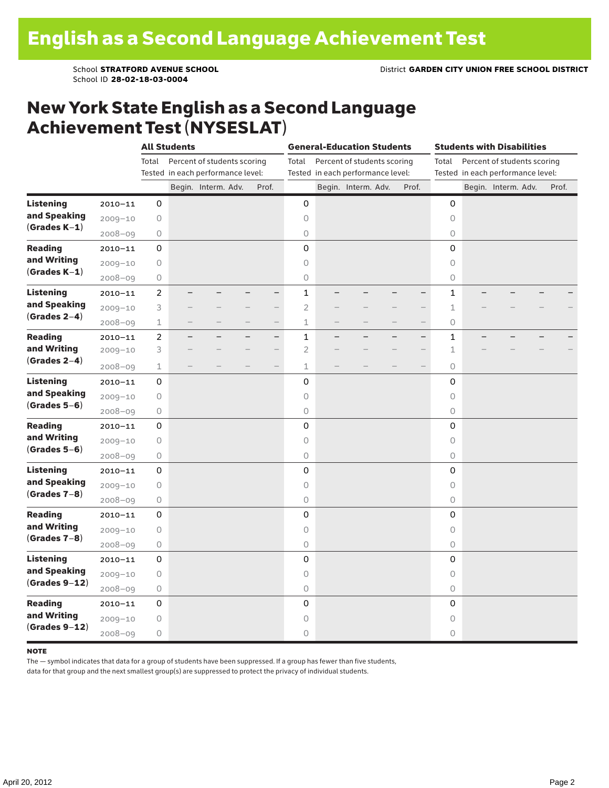School ID **28-02-18-03-0004**

### New York State English as a Second Language Achievement Test (NYSESLAT)

|                                                     |             |                                      | <b>All Students</b>               |                     |                          |                          |                     |                          | <b>General-Education Students</b> |  | <b>Students with Disabilities</b>    |              |  |                     |  |       |
|-----------------------------------------------------|-------------|--------------------------------------|-----------------------------------|---------------------|--------------------------|--------------------------|---------------------|--------------------------|-----------------------------------|--|--------------------------------------|--------------|--|---------------------|--|-------|
|                                                     |             | Percent of students scoring<br>Total |                                   |                     |                          |                          | Total               |                          | Percent of students scoring       |  | Percent of students scoring<br>Total |              |  |                     |  |       |
|                                                     |             |                                      | Tested in each performance level: |                     |                          |                          |                     |                          | Tested in each performance level: |  | Tested in each performance level:    |              |  |                     |  |       |
|                                                     |             |                                      |                                   | Begin. Interm. Adv. |                          | Prof.                    |                     |                          | Begin. Interm. Adv.               |  | Prof.                                |              |  | Begin. Interm. Adv. |  | Prof. |
| <b>Listening</b>                                    | $2010 - 11$ | 0                                    |                                   |                     |                          |                          | 0                   |                          |                                   |  |                                      | 0            |  |                     |  |       |
| and Speaking<br>$(Grades K-1)$                      | $2009 - 10$ | $\bigcirc$                           |                                   |                     |                          |                          | 0                   |                          |                                   |  |                                      | $\circ$      |  |                     |  |       |
|                                                     | $2008 - 09$ | $\bigcirc$                           |                                   |                     |                          |                          | $\circlearrowright$ |                          |                                   |  |                                      | 0            |  |                     |  |       |
| <b>Reading</b><br>and Writing<br>$(Grades K-1)$     | $2010 - 11$ | 0                                    |                                   |                     |                          |                          | $\mathbf 0$         |                          |                                   |  |                                      | 0            |  |                     |  |       |
|                                                     | $2009 - 10$ | $\bigcirc$                           |                                   |                     |                          |                          | 0                   |                          |                                   |  |                                      | 0            |  |                     |  |       |
|                                                     | $2008 - 09$ | $\bigcirc$                           |                                   |                     |                          |                          | 0                   |                          |                                   |  |                                      | 0            |  |                     |  |       |
| <b>Listening</b><br>and Speaking<br>$(Grades 2-4)$  | $2010 - 11$ | $\overline{c}$                       |                                   |                     |                          | -                        | $\mathbf{1}$        |                          |                                   |  |                                      | $\mathbf{1}$ |  |                     |  |       |
|                                                     | $2009 - 10$ | 3                                    |                                   |                     |                          | -                        | $\overline{2}$      |                          |                                   |  | -                                    | 1            |  |                     |  |       |
|                                                     | $2008 - 09$ | $\mathbf 1$                          | $\overline{\phantom{0}}$          |                     | $\overline{\phantom{0}}$ | $\overline{\phantom{0}}$ | $\mathbf 1$         | $\overline{\phantom{0}}$ | $\overline{\phantom{0}}$          |  | $\overline{\phantom{0}}$             | 0            |  |                     |  |       |
| <b>Reading</b><br>and Writing<br>$(Grades 2-4)$     | $2010 - 11$ | $\overline{c}$                       |                                   |                     |                          | $-$                      | $\mathbf{1}$        |                          |                                   |  | $\overline{\phantom{0}}$             | 1            |  |                     |  |       |
|                                                     | $2009 - 10$ | 3                                    |                                   |                     |                          | -                        | $\overline{2}$      |                          |                                   |  |                                      | 1            |  |                     |  |       |
|                                                     | $2008 - 09$ | $\mathbf 1$                          |                                   |                     |                          | $\overline{\phantom{0}}$ | $\mathbf{1}$        |                          |                                   |  |                                      | 0            |  |                     |  |       |
| <b>Listening</b><br>and Speaking                    | $2010 - 11$ | 0                                    |                                   |                     |                          |                          | $\mathbf 0$         |                          |                                   |  |                                      | 0            |  |                     |  |       |
|                                                     | $2009 - 10$ | 0                                    |                                   |                     |                          |                          | $\circ$             |                          |                                   |  |                                      | 0            |  |                     |  |       |
| $(Grades 5-6)$                                      | $2008 - 09$ | $\bigcirc$                           |                                   |                     |                          |                          | $\mathsf O$         |                          |                                   |  |                                      | 0            |  |                     |  |       |
| <b>Reading</b>                                      | $2010 - 11$ | 0                                    |                                   |                     |                          |                          | 0                   |                          |                                   |  |                                      | 0            |  |                     |  |       |
| and Writing                                         | $2009 - 10$ | $\bigcirc$                           |                                   |                     |                          |                          | $\circ$             |                          |                                   |  |                                      | $\circ$      |  |                     |  |       |
| $(Grades 5-6)$                                      | $2008 - 09$ | $\bigcirc$                           |                                   |                     |                          |                          | $\bigcirc$          |                          |                                   |  |                                      | 0            |  |                     |  |       |
| <b>Listening</b><br>and Speaking<br>$(Grades 7-8)$  | $2010 - 11$ | 0                                    |                                   |                     |                          |                          | 0                   |                          |                                   |  |                                      | 0            |  |                     |  |       |
|                                                     | $2009 - 10$ | 0                                    |                                   |                     |                          |                          | $\circ$             |                          |                                   |  |                                      | $\circ$      |  |                     |  |       |
|                                                     | $2008 - 09$ | 0                                    |                                   |                     |                          |                          | $\bigcirc$          |                          |                                   |  |                                      | 0            |  |                     |  |       |
| <b>Reading</b><br>and Writing<br>$(Grades 7-8)$     | $2010 - 11$ | 0                                    |                                   |                     |                          |                          | 0                   |                          |                                   |  |                                      | 0            |  |                     |  |       |
|                                                     | $2009 - 10$ | 0                                    |                                   |                     |                          |                          | $\mathsf O$         |                          |                                   |  |                                      | 0            |  |                     |  |       |
|                                                     | $2008 - 09$ | $\bigcirc$                           |                                   |                     |                          |                          | $\mathsf O$         |                          |                                   |  |                                      | 0            |  |                     |  |       |
| <b>Listening</b><br>and Speaking<br>$(Grades 9-12)$ | $2010 - 11$ | 0                                    |                                   |                     |                          |                          | 0                   |                          |                                   |  |                                      | $\mathbf 0$  |  |                     |  |       |
|                                                     | $2009 - 10$ | $\bigcirc$                           |                                   |                     |                          |                          | $\circ$             |                          |                                   |  |                                      | $\circ$      |  |                     |  |       |
|                                                     | $2008 - 09$ | $\bigcirc$                           |                                   |                     |                          |                          | $\bigcirc$          |                          |                                   |  |                                      | 0            |  |                     |  |       |
| <b>Reading</b><br>and Writing<br>$(Grades 9-12)$    | $2010 - 11$ | 0                                    |                                   |                     |                          |                          | 0                   |                          |                                   |  |                                      | 0            |  |                     |  |       |
|                                                     | $2009 - 10$ | $\bigcirc$                           |                                   |                     |                          |                          | 0                   |                          |                                   |  |                                      | $\circ$      |  |                     |  |       |
|                                                     | $2008 - 09$ | $\bigcirc$                           |                                   |                     |                          |                          | $\circ$             |                          |                                   |  |                                      | 0            |  |                     |  |       |

#### note

The — symbol indicates that data for a group of students have been suppressed. If a group has fewer than five students,

data for that group and the next smallest group(s) are suppressed to protect the privacy of individual students.